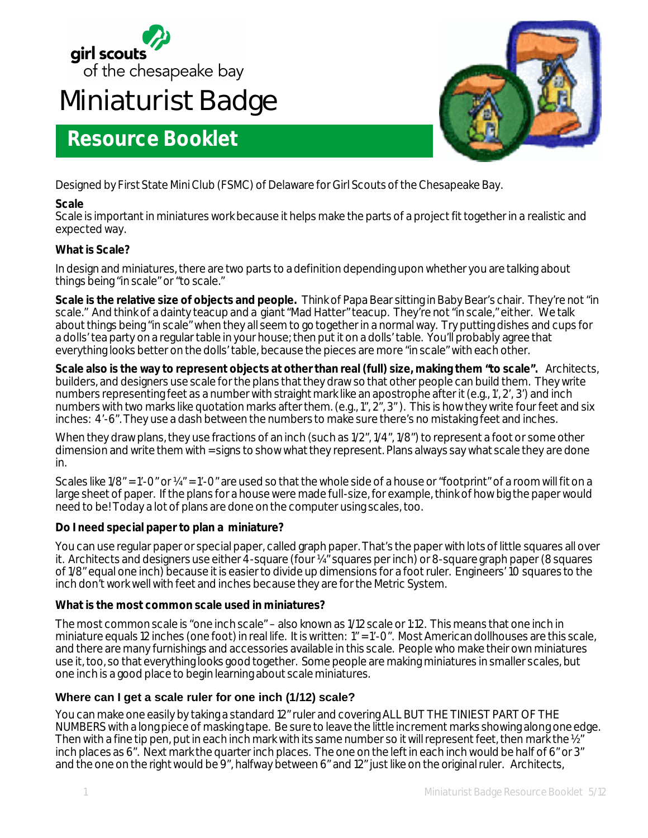

# **Miniaturist Badge**

## **Resource Booklet**



Designed by First State Mini Club (FSMC) of Delaware for Girl Scouts of the Chesapeake Bay.

## **Scale**

Scale is important in miniatures work because it helps make the parts of a project fit together in a realistic and expected way.

## **What is Scale?**

In design and miniatures, there are two parts to a definition depending upon whether you are talking about things being "in scale" or "to scale."

**Scale is the relative size of objects and people.** Think of Papa Bear sitting in Baby Bear's chair. They're not "in scale." And think of a dainty teacup and a giant "Mad Hatter" teacup. They're not "in scale," either. We talk about things being "in scale" when they all seem to go together in a normal way. Try putting dishes and cups for a dolls' tea party on a regular table in your house; then put it on a dolls' table. You'll probably agree that everything looks better on the dolls' table, because the pieces are more "in scale" with each other.

**Scale also is the way to represent objects at other than real (full) size, making them "to scale".** Architects, builders, and designers use scale for the plans that they draw so that other people can build them. They write numbers representing feet as a number with straight mark like an apostrophe after it (e.g., 1', 2', 3') and inch numbers with two marks like quotation marks after them. (e.g., 1", 2", 3" ). This is how they write four feet and six inches: 4'-6". They use a dash between the numbers to make sure there's no mistaking feet and inches.

When they draw plans, they use fractions of an inch (such as  $1/2$ ",  $1/4$ ",  $1/8$ ") to represent a foot or some other dimension and write them with = signs to show what they represent. Plans always say what scale they are done in.

Scales like  $1/8$ " = 1'-0" or  $\frac{1}{4}$ " = 1'-0" are used so that the whole side of a house or "footprint" of a room will fit on a large sheet of paper. If the plans for a house were made full-size, for example, think of how big the paper would need to be! Today a lot of plans are done on the computer using scales, too.

#### **Do I need special paper to plan a miniature?**

You can use regular paper or special paper, called graph paper. That's the paper with lots of little squares all over it. Architects and designers use either 4-square (four ¼" squares per inch) or 8-square graph paper (8 squares of 1/8" equal one inch) because it is easier to divide up dimensions for a foot ruler. Engineers' 10 squares to the inch don't work well with feet and inches because they are for the Metric System.

## **What is the most common scale used in miniatures?**

The most common scale is "one inch scale" – also known as 1/12 scale or 1:12. This means that one inch in miniature equals 12 inches (one foot) in real life. It is written: 1" = 1'-0". Most American dollhouses are this scale, and there are many furnishings and accessories available in this scale. People who make their own miniatures use it, too, so that everything looks good together. Some people are making miniatures in smaller scales, but one inch is a good place to begin learning about scale miniatures.

## **Where can I get a scale ruler for one inch (1/12) scale?**

You can make one easily by taking a standard 12" ruler and covering ALL BUT THE TINIEST PART OF THE NUMBERS with a long piece of masking tape. Be sure to leave the little increment marks showing along one edge. Then with a fine tip pen, put in each inch mark with its same number so it will represent feet, then mark the  $\Sigma^r$ inch places as 6". Next mark the quarter inch places. The one on the left in each inch would be half of 6" or 3" and the one on the right would be 9", halfway between 6" and 12" just like on the original ruler. Architects,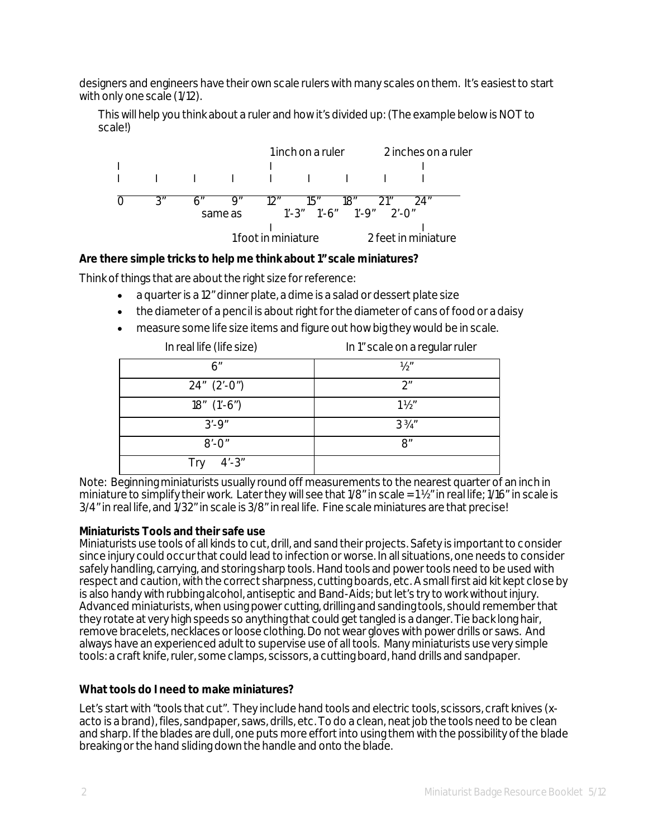designers and engineers have their own scale rulers with many scales on them. It's easiest to start with only one scale (1/12).

This will help you think about a ruler and how it's divided up: (The example below is NOT to scale!)



#### **Are there simple tricks to help me think about 1" scale miniatures?**

Think of things that are about the right size for reference:

- a quarter is a 12" dinner plate, a dime is a salad or dessert plate size
- the diameter of a pencil is about right for the diameter of cans of food or a daisy
- measure some life size items and figure out how big they would be in scale.

| In real life (life size) | In 1" scale on a regular ruler |
|--------------------------|--------------------------------|
| 6″                       | $\frac{1}{2}$ "                |
| $24'' (2'-0'')$          | 2"                             |
| $18''$ $(1'-6'')$        | $1\frac{1}{2}$                 |
| $3' - 9''$               | $3\frac{3}{4}$ "               |
| $8'$ -0"                 | 8"                             |
| $4' - 3''$<br>Trv        |                                |

Note: Beginning miniaturists usually round off measurements to the nearest quarter of an inch in miniature to simplify their work. Later they will see that 1/8" in scale = 1 ½" in real life; 1/16" in scale is 3/4" in real life, and 1/32" in scale is 3/8" in real life. Fine scale miniatures are that precise!

#### **Miniaturists Tools and their safe use**

Miniaturists use tools of all kinds to cut, drill, and sand their projects. Safety is important to consider since injury could occur that could lead to infection or worse. In all situations, one needs to consider safely handling, carrying, and storing sharp tools. Hand tools and power tools need to be used with respect and caution, with the correct sharpness, cutting boards, etc. A small first aid kit kept close by is also handy with rubbing alcohol, antiseptic and Band-Aids; but let's try to work without injury. Advanced miniaturists, when using power cutting, drilling and sanding tools, should remember that they rotate at very high speeds so anything that could get tangled is a danger. Tie back long hair, remove bracelets, necklaces or loose clothing. Do not wear gloves with power drills or saws. And always have an experienced adult to supervise use of all tools. Many miniaturists use very simple tools: a craft knife, ruler, some clamps, scissors, a cutting board, hand drills and sandpaper.

#### **What tools do I need to make miniatures?**

Let's start with "tools that cut". They include hand tools and electric tools, scissors, craft knives (xacto is a brand), files, sandpaper, saws, drills, etc. To do a clean, neat job the tools need to be clean and sharp. If the blades are dull, one puts more effort into using them with the possibility of the blade breaking or the hand sliding down the handle and onto the blade.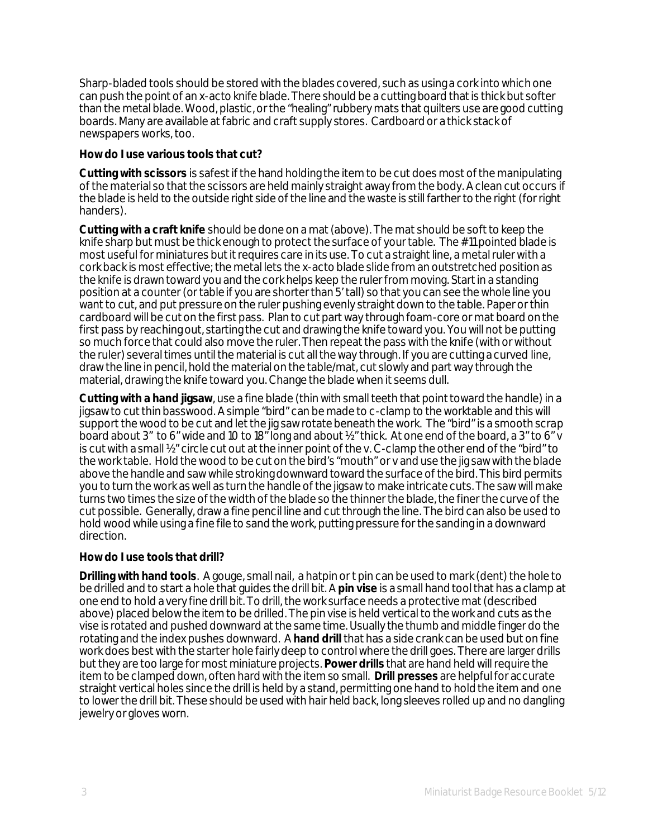Sharp-bladed tools should be stored with the blades covered, such as using a cork into which one can push the point of an x-acto knife blade. There should be a cutting board that is thick but softer than the metal blade. Wood, plastic, or the "healing" rubbery mats that quilters use are good cutting boards. Many are available at fabric and craft supply stores. Cardboard or a thick stack of newspapers works, too.

#### **How do I use various tools that cut?**

**Cutting with scissors** is safest if the hand holding the item to be cut does most of the manipulating of the material so that the scissors are held mainly straight away from the body. A clean cut occurs if the blade is held to the outside right side of the line and the waste is still farther to the right (for right handers).

**Cutting with a craft knife** should be done on a mat (above). The mat should be soft to keep the knife sharp but must be thick enough to protect the surface of your table. The #11 pointed blade is most useful for miniatures but it requires care in its use. To cut a straight line, a metal ruler with a cork back is most effective; the metal lets the x-acto blade slide from an outstretched position as the knife is drawn toward you and the cork helps keep the ruler from moving. Start in a standing position at a counter (or table if you are shorter than 5' tall) so that you can see the whole line you want to cut, and put pressure on the ruler pushing evenly straight down to the table. Paper or thin cardboard will be cut on the first pass. Plan to cut part way through foam-core or mat board on the first pass by reaching out, starting the cut and drawing the knife toward you. You will not be putting so much force that could also move the ruler. Then repeat the pass with the knife (with or without the ruler) several times until the material is cut all the way through. If you are cutting a curved line, draw the line in pencil, hold the material on the table/mat, cut slowly and part way through the material, drawing the knife toward you. Change the blade when it seems dull.

**Cutting with a hand jigsaw**, use a fine blade (thin with small teeth that point toward the handle) in a jigsaw to cut thin basswood. A simple "bird" can be made to c-clamp to the worktable and this will support the wood to be cut and let the jig saw rotate beneath the work. The "bird" is a smooth scrap board about 3" to 6" wide and 10 to 18" long and about 1/2" thick. At one end of the board, a 3" to 6" v is cut with a small ½" circle cut out at the inner point of the v. C-clamp the other end of the "bird" to the work table. Hold the wood to be cut on the bird's "mouth" or v and use the jig saw with the blade above the handle and saw while stroking downward toward the surface of the bird. This bird permits you to turn the work as well as turn the handle of the jigsaw to make intricate cuts. The saw will make turns two times the size of the width of the blade so the thinner the blade, the finer the curve of the cut possible. Generally, draw a fine pencil line and cut through the line. The bird can also be used to hold wood while using a fine file to sand the work, putting pressure for the sanding in a downward direction.

#### **How do I use tools that drill?**

**Drilling with hand tools**. A gouge, small nail, a hatpin or t pin can be used to mark (dent) the hole to be drilled and to start a hole that guides the drill bit. A **pin vise** is a small hand tool that has a clamp at one end to hold a very fine drill bit. To drill, the work surface needs a protective mat (described above) placed below the item to be drilled. The pin vise is held vertical to the work and cuts as the vise is rotated and pushed downward at the same time. Usually the thumb and middle finger do the rotating and the index pushes downward. A **hand drill** that has a side crank can be used but on fine work does best with the starter hole fairly deep to control where the drill goes. There are larger drills but they are too large for most miniature projects. **Power drills** that are hand held will require the item to be clamped down, often hard with the item so small. **Drill presses** are helpful for accurate straight vertical holes since the drill is held by a stand, permitting one hand to hold the item and one to lower the drill bit. These should be used with hair held back, long sleeves rolled up and no dangling jewelry or gloves worn.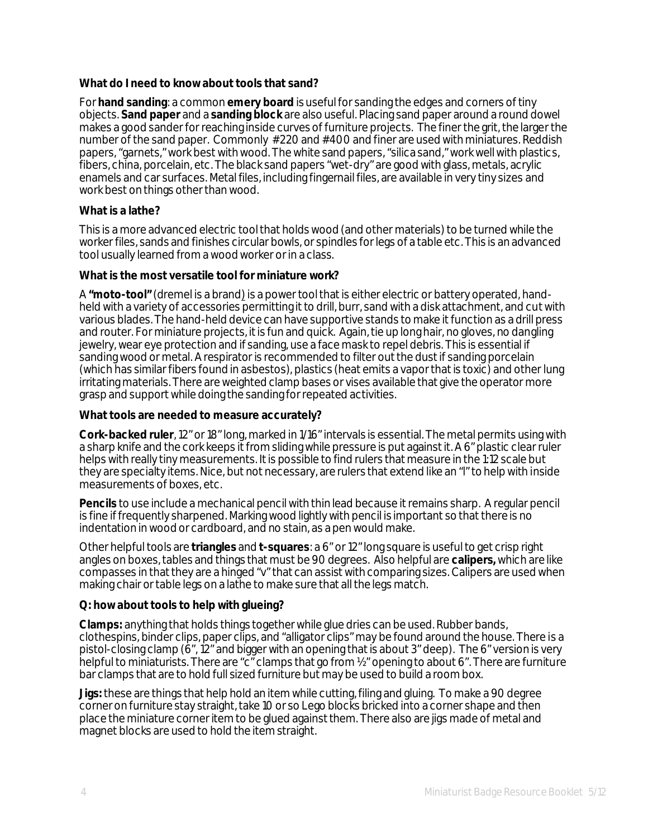#### **What do I need to know about tools that sand?**

For **hand sanding**: a common **emery board** is useful for sanding the edges and corners of tiny objects. **Sand paper** and a **sanding block** are also useful. Placing sand paper around a round dowel makes a good sander for reaching inside curves of furniture projects. The finer the grit, the larger the number of the sand paper. Commonly #220 and #400 and finer are used with miniatures. Reddish papers, "garnets," work best with wood. The white sand papers, "silica sand," work well with plastics, fibers, china, porcelain, etc. The black sand papers "wet-dry" are good with glass, metals, acrylic enamels and car surfaces. Metal files, including fingernail files, are available in very tiny sizes and work best on things other than wood.

#### **What is a lathe?**

This is a more advanced electric tool that holds wood (and other materials) to be turned while the worker files, sands and finishes circular bowls, or spindles for legs of a table etc. This is an advanced tool usually learned from a wood worker or in a class.

#### **What is the most versatile tool for miniature work?**

A "**moto-tool**" (dremel is a brand) is a power tool that is either electric or battery operated, handheld with a variety of accessories permitting it to drill, burr, sand with a disk attachment, and cut with various blades. The hand-held device can have supportive stands to make it function as a drill press and router. For miniature projects, it is fun and quick. Again, tie up long hair, no gloves, no dangling jewelry, wear eye protection and if sanding, use a face mask to repel debris. This is essential if sanding wood or metal. A respirator is recommended to filter out the dust if sanding porcelain (which has similar fibers found in asbestos), plastics (heat emits a vapor that is toxic) and other lung irritating materials. There are weighted clamp bases or vises available that give the operator more grasp and support while doing the sanding for repeated activities.

#### **What tools are needed to measure accurately?**

**Cork-backed ruler**, 12" or 18" long, marked in 1/16" intervals is essential. The metal permits using with a sharp knife and the cork keeps it from sliding while pressure is put against it. A 6" plastic clear ruler helps with really tiny measurements. It is possible to find rulers that measure in the 1:12 scale but they are specialty items. Nice, but not necessary, are rulers that extend like an "l" to help with inside measurements of boxes, etc.

**Pencils** to use include a mechanical pencil with thin lead because it remains sharp. A regular pencil is fine if frequently sharpened. Marking wood lightly with pencil is important so that there is no indentation in wood or cardboard, and no stain, as a pen would make.

Other helpful tools are **triangles** and **t-squares**: a 6" or 12" long square is useful to get crisp right angles on boxes, tables and things that must be 90 degrees. Also helpful are **calipers,** which are like compasses in that they are a hinged "v" that can assist with comparing sizes. Calipers are used when making chair or table legs on a lathe to make sure that all the legs match.

#### **Q: how about tools to help with glueing?**

**Clamps:** anything that holds things together while glue dries can be used. Rubber bands, clothespins, binder clips, paper clips, and "alligator clips" may be found around the house. There is a pistol-closing clamp (6", 12" and bigger with an opening that is about 3" deep). The 6" version is very helpful to miniaturists. There are "c" clamps that go from  $\frac{1}{2}$ " opening to about 6". There are furniture bar clamps that are to hold full sized furniture but may be used to build a room box.

**Jigs:** these are things that help hold an item while cutting, filing and gluing. To make a 90 degree corner on furniture stay straight, take 10 or so Lego blocks bricked into a corner shape and then place the miniature corner item to be glued against them. There also are jigs made of metal and magnet blocks are used to hold the item straight.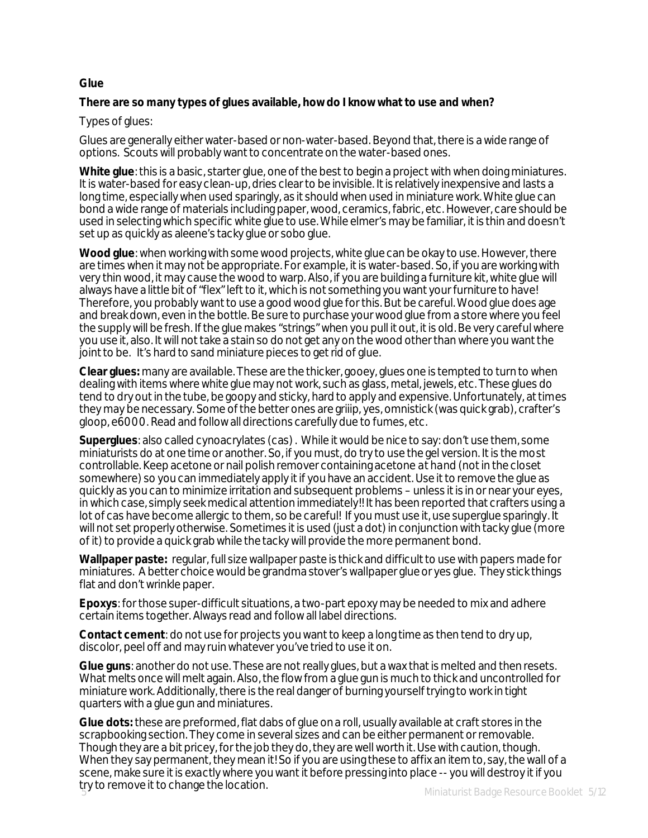#### **Glue**

#### **There are so many types of glues available, how do I know what to use and when?**

#### Types of glues:

Glues are generally either water-based or non-water-based. Beyond that, there is a wide range of options. Scouts will probably want to concentrate on the water-based ones.

**White glue**: this is a basic, starter glue, one of the best to begin a project with when doing miniatures. It is water-based for easy clean-up, dries clear to be invisible. It is relatively inexpensive and lasts a long time, especially when used sparingly, as it should when used in miniature work. White glue can bond a wide range of materials including paper, wood, ceramics, fabric, etc. However, care should be used in selecting which specific white glue to use. While elmer's may be familiar, it is thin and doesn't set up as quickly as aleene's tacky glue or sobo glue.

**Wood glue**: when working with some wood projects, white glue can be okay to use. However, there are times when it may not be appropriate. For example, it is water-based. So, if you are working with very thin wood, it may cause the wood to warp. Also, if you are building a furniture kit, white glue will always have a little bit of "flex" left to it, which is not something you want your furniture to have! Therefore, you probably want to use a good wood glue for this. But be careful. Wood glue does age and break down, even in the bottle. Be sure to purchase your wood glue from a store where you feel the supply will be fresh. If the glue makes "strings" when you pull it out, it is old. Be very careful where you use it, also. It will not take a stain so do not get any on the wood other than where you want the joint to be. It's hard to sand miniature pieces to get rid of glue.

**Clear glues:** many are available. These are the thicker, gooey, glues one is tempted to turn to when dealing with items where white glue may not work, such as glass, metal, jewels, etc. These glues do tend to dry out in the tube, be goopy and sticky, hard to apply and expensive. Unfortunately, at times they may be necessary. Some of the better ones are griiip, yes, omnistick (was quick grab), crafter's gloop, e6000. Read and follow all directions carefully due to fumes, etc.

**Superglues**: also called cynoacrylates (cas) . While it would be nice to say: don't use them, some miniaturists do at one time or another. So, if you must, do try to use the gel version. It is the most controllable. Keep acetone or nail polish remover containing acetone *at hand* (not in the closet somewhere) so you can immediately apply it if you have an accident. Use it to remove the glue as quickly as you can to minimize irritation and subsequent problems – unless it is in or near your eyes, in which case, simply seek medical attention immediately!! It has been reported that crafters using a lot of cas have become allergic to them, so be careful! If you must use it, use superglue sparingly. It will not set properly otherwise. Sometimes it is used (just a dot) in conjunction with tacky glue (more of it) to provide a quick grab while the tacky will provide the more permanent bond.

**Wallpaper paste:** regular, full size wallpaper paste is thick and difficult to use with papers made for miniatures. A better choice would be grandma stover's wallpaper glue or yes glue. They stick things flat and don't wrinkle paper.

**Epoxys**: for those super-difficult situations, a two-part epoxy may be needed to mix and adhere certain items together. Always read and follow all label directions.

**Contact cement**: do not use for projects you want to keep a long time as then tend to dry up, discolor, peel off and may ruin whatever you've tried to use it on.

**Glue guns**: another do not use. These are not really glues, but a wax that is melted and then resets. What melts once will melt again. Also, the flow from a glue gun is much to thick and uncontrolled for miniature work. Additionally, there is the real danger of burning yourself trying to work in tight quarters with a glue gun and miniatures.

**Glue dots:** these are preformed, flat dabs of glue on a roll, usually available at craft stores in the scrapbooking section. They come in several sizes and can be either permanent or removable. Though they are a bit pricey, for the job they do, they are well worth it. Use with caution, though. When they say permanent, they mean it! So if you are using these to affix an item to, say, the wall of a scene, make sure it is *exactly*where you want it before pressing into place -- you will destroy it if you try to remove it to change the location.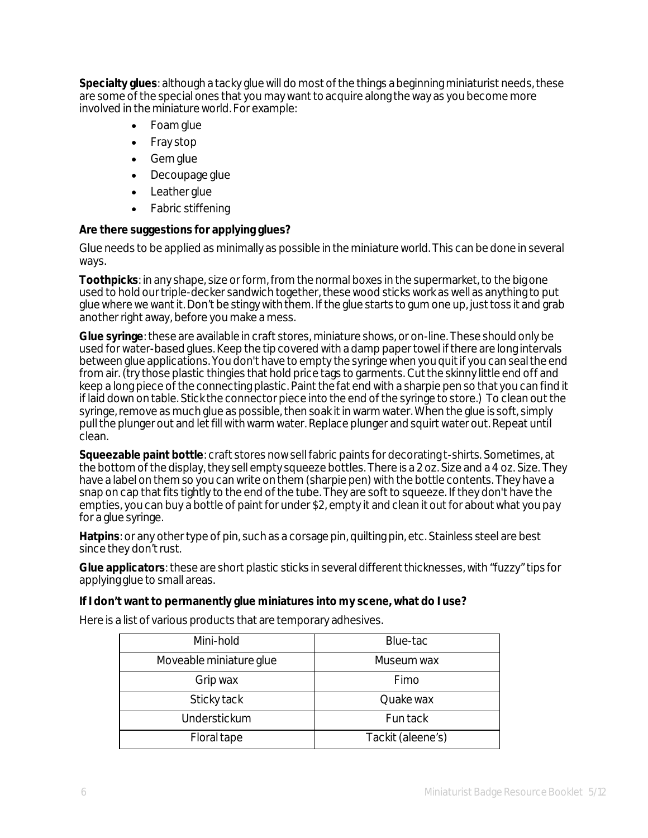**Specialty glues**: although a tacky glue will do most of the things a beginning miniaturist needs, these are some of the special ones that you may want to acquire along the way as you become more involved in the miniature world. For example:

- Foam glue
- Fray stop
- Gem glue
- Decoupage glue
- Leather glue
- Fabric stiffening

## **Are there suggestions for applying glues?**

Glue needs to be applied as minimally as possible in the miniature world. This can be done in several ways.

**Toothpicks**: in any shape, size or form, from the normal boxes in the supermarket, to the big one used to hold our triple-decker sandwich together, these wood sticks work as well as anything to put glue where we want it. Don't be stingy with them. If the glue starts to gum one up, just toss it and grab another right away, before you make a mess.

**Glue syringe**: these are available in craft stores, miniature shows, or on-line. These should only be used for water-based glues. Keep the tip covered with a damp paper towel if there are long intervals between glue applications. You don't have to empty the syringe when you quit if you can seal the end from air. (try those plastic thingies that hold price tags to garments. Cut the skinny little end off and keep a long piece of the connecting plastic. Paint the fat end with a sharpie pen so that you can find it if laid down on table. Stick the connector piece into the end of the syringe to store.) To clean out the syringe, remove as much glue as possible, then soak it in warm water. When the glue is soft, simply pull the plunger out and let fill with warm water. Replace plunger and squirt water out. Repeat until clean.

**Squeezable paint bottle**: craft stores now sell fabric paints for decorating t-shirts. Sometimes, at the bottom of the display, they sell empty squeeze bottles. There is a 2 oz. Size and a 4 oz. Size. They have a label on them so you can write on them (sharpie pen) with the bottle contents. They have a snap on cap that fits tightly to the end of the tube. They are soft to squeeze. If they don't have the empties, you can buy a bottle of paint for under \$2, empty it and clean it out for about what you pay for a glue syringe.

**Hatpins**: or any other type of pin, such as a corsage pin, quilting pin, etc. Stainless steel are best since they don't rust.

**Glue applicators**: these are short plastic sticks in several different thicknesses, with "fuzzy" tips for applying glue to small areas.

#### **If I don't want to permanently glue miniatures into my scene, what do I use?**

Here is a list of various products that are temporary adhesives.

| Mini-hold               | Blue-tac          |
|-------------------------|-------------------|
| Moveable miniature glue | Museum wax        |
| Grip wax                | Fimo              |
| Sticky tack             | Quake wax         |
| Understickum            | Fun tack          |
| Floral tape             | Tackit (aleene's) |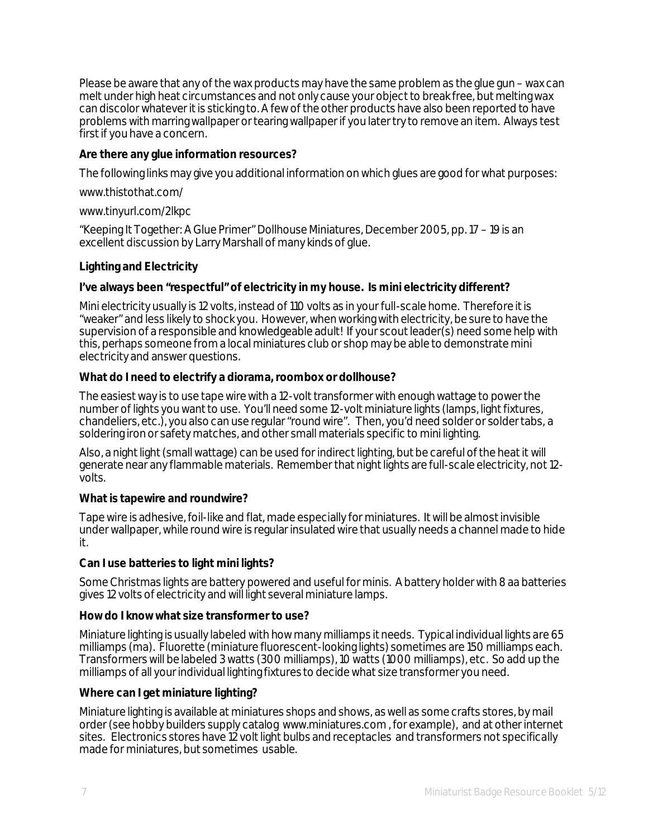Please be aware that any of the wax products may have the same problem as the glue gun – wax can melt under high heat circumstances and not only cause your object to break free, but melting wax can discolor whatever it is sticking to. A few of the other products have also been reported to have problems with marring wallpaper or tearing wallpaper if you later try to remove an item. Always test first if you have a concern.

## **Are there any glue information resources?**

The following links may give you additional information on which glues are good for what purposes:

www.thistothat.com/

www.tinyurl.com/2lkpc

"Keeping It Together: A Glue Primer" Dollhouse Miniatures, December 2005, pp. 17 – 19 is an excellent discussion by Larry Marshall of many kinds of glue.

## **Lighting and Electricity**

#### **I've always been "respectful" of electricity in my house. Is mini electricity different?**

Mini electricity usually is 12 volts, instead of 110 volts as in your full-scale home. Therefore it is "weaker" and less likely to shock you. However, when working with electricity, be sure to have the supervision of a responsible and knowledgeable adult! If your scout leader(s) need some help with this, perhaps someone from a local miniatures club or shop may be able to demonstrate mini electricity and answer questions.

#### **What do I need to electrify a diorama, roombox or dollhouse?**

The easiest way is to use tape wire with a 12-volt transformer with enough wattage to power the number of lights you want to use. You'll need some 12-volt miniature lights (lamps, light fixtures, chandeliers, etc.), you also can use regular "round wire". Then, you'd need solder or solder tabs, a soldering iron or safety matches, and other small materials specific to mini lighting.

Also, a night light (small wattage) can be used for indirect lighting, but be careful of the heat it will generate near any flammable materials. Remember that night lights are full-scale electricity, not 12 volts.

#### **What is tapewire and roundwire?**

Tape wire is adhesive, foil-like and flat, made especially for miniatures. It will be almost invisible under wallpaper, while round wire is regular insulated wire that usually needs a channel made to hide it.

#### **Can I use batteries to light mini lights?**

Some Christmas lights are battery powered and useful for minis. A battery holder with 8 aa batteries gives 12 volts of electricity and will light several miniature lamps.

#### **How do I know what size transformer to use?**

Miniature lighting is usually labeled with how many milliamps it needs. Typical individual lights are 65 milliamps (ma). Fluorette (miniature fluorescent-looking lights) sometimes are 150 milliamps each. Transformers will be labeled 3 watts (300 milliamps), 10 watts (1000 milliamps), etc. So add up the milliamps of all your individual lighting fixtures to decide what size transformer you need.

#### **Where can I get miniature lighting?**

Miniature lighting is available at miniatures shops and shows, as well as some crafts stores, by mail order (see hobby builders supply catalog www.miniatures.com , for example), and at other internet sites. Electronics stores have 12 volt light bulbs and receptacles and transformers not specifically made for miniatures, but sometimes usable.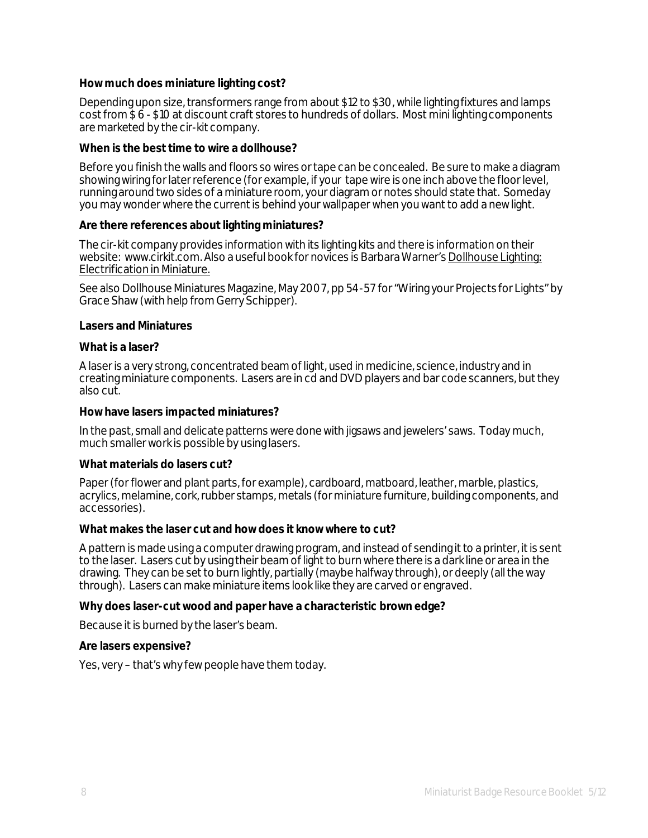#### **How much does miniature lighting cost?**

Depending upon size, transformers range from about \$12 to \$30, while lighting fixtures and lamps cost from \$ 6 - \$10 at discount craft stores to hundreds of dollars. Most mini lighting components are marketed by the cir-kit company.

#### **When is the best time to wire a dollhouse?**

Before you finish the walls and floors so wires or tape can be concealed. Be sure to make a diagram showing wiring for later reference (for example, if your tape wire is one inch above the floor level, running around two sides of a miniature room, your diagram or notes should state that. Someday you may wonder where the current is behind your wallpaper when you want to add a new light.

#### **Are there references about lighting miniatures?**

The cir-kit company provides information with its lighting kits and there is information on their website: www.cirkit.com. Also a useful book for novices is Barbara Warner's Dollhouse Lighting: Electrification in Miniature.

See also Dollhouse Miniatures Magazine, May 2007, pp 54-57 for "Wiring your Projects for Lights" by Grace Shaw (with help from Gerry Schipper).

#### **Lasers and Miniatures**

#### **What is a laser?**

A laser is a very strong, concentrated beam of light, used in medicine, science, industry and in creating miniature components. Lasers are in cd and DVD players and bar code scanners, but they also cut.

#### **How have lasers impacted miniatures?**

In the past, small and delicate patterns were done with jigsaws and jewelers' saws. Today much, much smaller work is possible by using lasers.

#### **What materials do lasers cut?**

Paper (for flower and plant parts, for example), cardboard, matboard, leather, marble, plastics, acrylics, melamine, cork, rubber stamps, metals (for miniature furniture, building components, and accessories).

#### **What makes the laser cut and how does it know where to cut?**

A pattern is made using a computer drawing program, and instead of sending it to a printer, it is sent to the laser. Lasers cut by using their beam of light to burn where there is a dark line or area in the drawing. They can be set to burn lightly, partially (maybe halfway through), or deeply (all the way through). Lasers can make miniature items look like they are carved or engraved.

#### **Why does laser-cut wood and paper have a characteristic brown edge?**

Because it is burned by the laser's beam.

#### **Are lasers expensive?**

Yes, very – that's why few people have them today.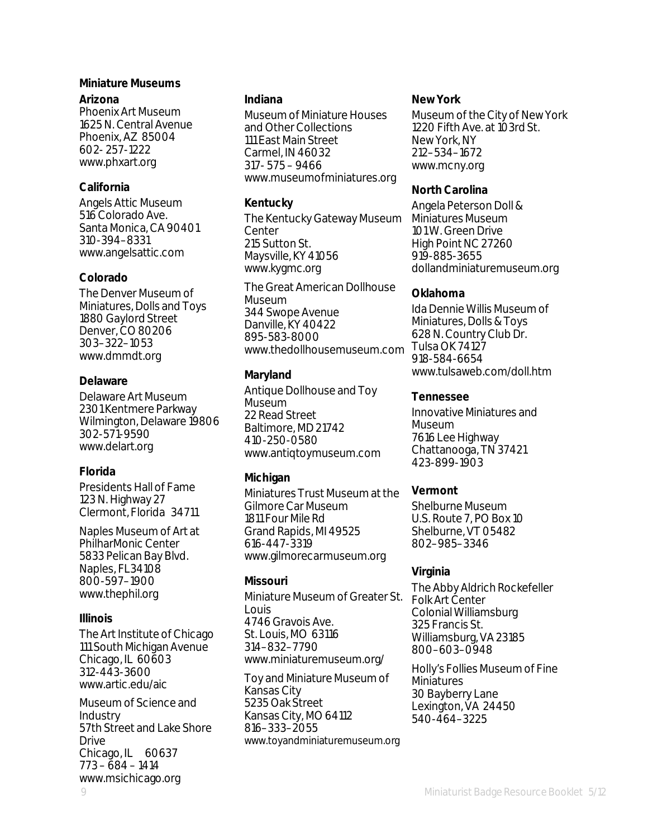#### **Miniature Museums**

#### **Arizona**

Phoenix Art Museum 1625 N. Central Avenue Phoenix, AZ 85004 602- 257-1222 www.phxart.org

## **California**

Angels Attic Museum 516 Colorado Ave. Santa Monica, CA 90401 310-394–8331 www.angelsattic.com

## **Colorado**

The Denver Museum of Miniatures, Dolls and Toys 1880 Gaylord Street Denver, CO 80206 303–322–1053 www.dmmdt.org

## **Delaware**

Delaware Art Museum 2301 Kentmere Parkway Wilmington, Delaware 19806 302-571-9590 www.delart.org

## **Florida**

Presidents Hall of Fame 123 N. Highway 27 Clermont, Florida 34711

Naples Museum of Art at PhilharMonic Center 5833 Pelican Bay Blvd. Naples, FL34108 800-597–1900 www.thephil.org

#### **Illinois**

The Art Institute of Chicago 111 South Michigan Avenue Chicago, IL 60603 312-443-3600 www.artic.edu/aic

Museum of Science and Industry 57th Street and Lake Shore Drive Chicago, IL 60637 773 – 684 – 1414 www.msichicago.org

#### **Indiana**

Museum of Miniature Houses and Other Collections 111 East Main Street Carmel, IN 46032 317- 575 – 9466 www.museumofminiatures.org

## **Kentucky**

The Kentucky Gateway Museum Center 215 Sutton St. Maysville, KY 41056 www.kygmc.org

The Great American Dollhouse Museum 344 Swope Avenue Danville, KY 40422 895-583-8000 www.thedollhousemuseum.com

## **Maryland**

Antique Dollhouse and Toy **Museum** 22 Read Street Baltimore, MD 21742 410-250-0580 www.antiqtoymuseum.com

## **Michigan**

Miniatures Trust Museum at the Gilmore Car Museum 1811 Four Mile Rd Grand Rapids, MI 49525 616-447-3319 www.gilmorecarmuseum.org

## **Missouri**

Miniature Museum of Greater St. Louis 4746 Gravois Ave. St. Louis, MO 63116 314–832–7790 www.miniaturemuseum.org/

Toy and Miniature Museum of Kansas City 5235 Oak Street Kansas City, MO 64112 816–333–2055 www.toyandminiaturemuseum.org

#### **New York**

Museum of the City of New York 1220 Fifth Ave. at 103rd St. New York, NY 212–534–1672 www.mcny.org

## **North Carolina**

Angela Peterson Doll & Miniatures Museum 101 W. Green Drive High Point NC 27260 919-885-3655 dollandminiaturemuseum.org

## **Oklahoma**

Ida Dennie Willis Museum of Miniatures, Dolls & Toys 628 N. Country Club Dr. Tulsa OK 74127 918-584-6654 www.tulsaweb.com/doll.htm

## **Tennessee**

Innovative Miniatures and Museum 7616 Lee Highway Chattanooga, TN 37421 423-899-1903

## **Vermont**

Shelburne Museum U.S. Route 7, PO Box 10 Shelburne, VT 05482 802–985–3346

## **Virginia**

The Abby Aldrich Rockefeller Folk Art Center Colonial Williamsburg 325 Francis St. Williamsburg, VA 23185 800–603–0948

Holly's Follies Museum of Fine Miniatures 30 Bayberry Lane Lexington, VA 24450 540-464–3225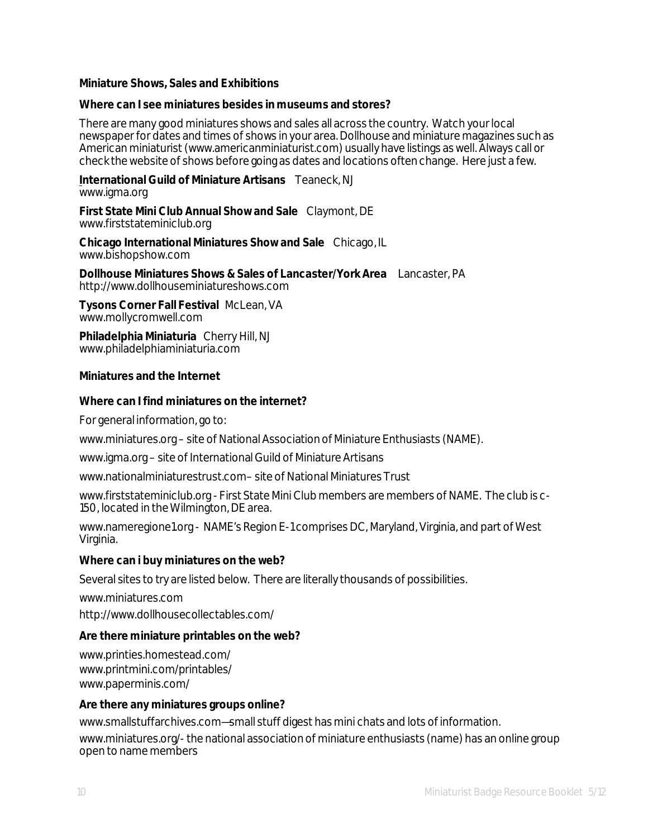#### **Miniature Shows, Sales and Exhibitions**

#### **Where can I see miniatures besides in museums and stores?**

There are many good miniatures shows and sales all across the country. Watch your local newspaper for dates and times of shows in your area. Dollhouse and miniature magazines such as American miniaturist (www.americanminiaturist.com) usually have listings as well. Always call or check the website of shows before going as dates and locations often change. Here just a few.

#### **International Guild of Miniature Artisans** Teaneck, NJ www.igma.org

**First State Mini Club Annual Show and Sale** Claymont, DE www.firststateminiclub.org

**Chicago International Miniatures Show and Sale** Chicago, IL www.bishopshow.com

**Dollhouse Miniatures Shows & Sales of Lancaster/York Area** Lancaster, PA http://www.dollhouseminiatureshows.com

**Tysons Corner Fall Festival** McLean, VA www.mollycromwell.com

**Philadelphia Miniaturia** Cherry Hill, NJ www.philadelphiaminiaturia.com

#### **Miniatures and the Internet**

#### **Where can I find miniatures on the internet?**

For general information, go to:

www.miniatures.org – site of National Association of Miniature Enthusiasts (NAME).

www.igma.org – site of International Guild of Miniature Artisans

www.nationalminiaturestrust.com– site of National Miniatures Trust

www.firststateminiclub.org - First State Mini Club members are members of NAME. The club is c-150, located in the Wilmington, DE area.

www.nameregione1.org - NAME's Region E-1 comprises DC, Maryland, Virginia, and part of West Virginia.

#### **Where can i buy miniatures on the web?**

Several sites to try are listed below. There are literally thousands of possibilities.

www.miniatures.com http://www.dollhousecollectables.com/

#### **Are there miniature printables on the web?**

www.printies.homestead.com/ www.printmini.com/printables/ www.paperminis.com/

#### **Are there any miniatures groups online?**

www.smallstuffarchives.com—small stuff digest has mini chats and lots of information. www.miniatures.org/-the national association of miniature enthusiasts (name) has an online group open to name members